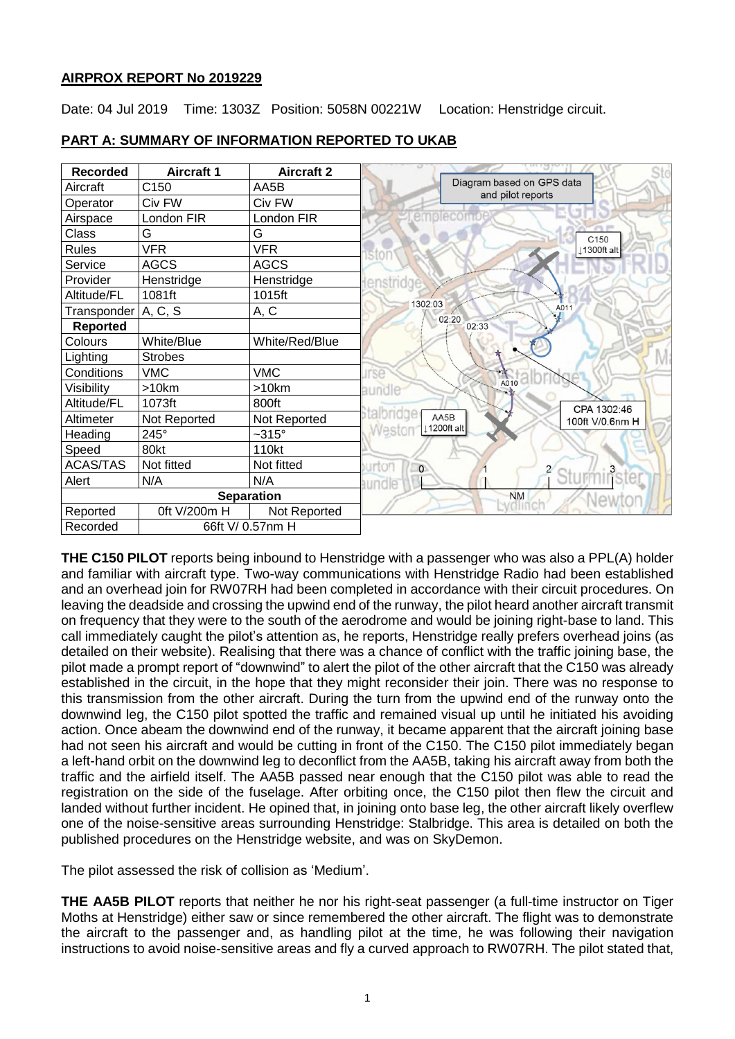## **AIRPROX REPORT No 2019229**

Date: 04 Jul 2019 Time: 1303Z Position: 5058N 00221W Location: Henstridge circuit.



# **PART A: SUMMARY OF INFORMATION REPORTED TO UKAB**

**THE C150 PILOT** reports being inbound to Henstridge with a passenger who was also a PPL(A) holder and familiar with aircraft type. Two-way communications with Henstridge Radio had been established and an overhead join for RW07RH had been completed in accordance with their circuit procedures. On leaving the deadside and crossing the upwind end of the runway, the pilot heard another aircraft transmit on frequency that they were to the south of the aerodrome and would be joining right-base to land. This call immediately caught the pilot's attention as, he reports, Henstridge really prefers overhead joins (as detailed on their website). Realising that there was a chance of conflict with the traffic joining base, the pilot made a prompt report of "downwind" to alert the pilot of the other aircraft that the C150 was already established in the circuit, in the hope that they might reconsider their join. There was no response to this transmission from the other aircraft. During the turn from the upwind end of the runway onto the downwind leg, the C150 pilot spotted the traffic and remained visual up until he initiated his avoiding action. Once abeam the downwind end of the runway, it became apparent that the aircraft joining base had not seen his aircraft and would be cutting in front of the C150. The C150 pilot immediately began a left-hand orbit on the downwind leg to deconflict from the AA5B, taking his aircraft away from both the traffic and the airfield itself. The AA5B passed near enough that the C150 pilot was able to read the registration on the side of the fuselage. After orbiting once, the C150 pilot then flew the circuit and landed without further incident. He opined that, in joining onto base leg, the other aircraft likely overflew one of the noise-sensitive areas surrounding Henstridge: Stalbridge. This area is detailed on both the published procedures on the Henstridge website, and was on SkyDemon.

The pilot assessed the risk of collision as 'Medium'.

**THE AA5B PILOT** reports that neither he nor his right-seat passenger (a full-time instructor on Tiger Moths at Henstridge) either saw or since remembered the other aircraft. The flight was to demonstrate the aircraft to the passenger and, as handling pilot at the time, he was following their navigation instructions to avoid noise-sensitive areas and fly a curved approach to RW07RH. The pilot stated that,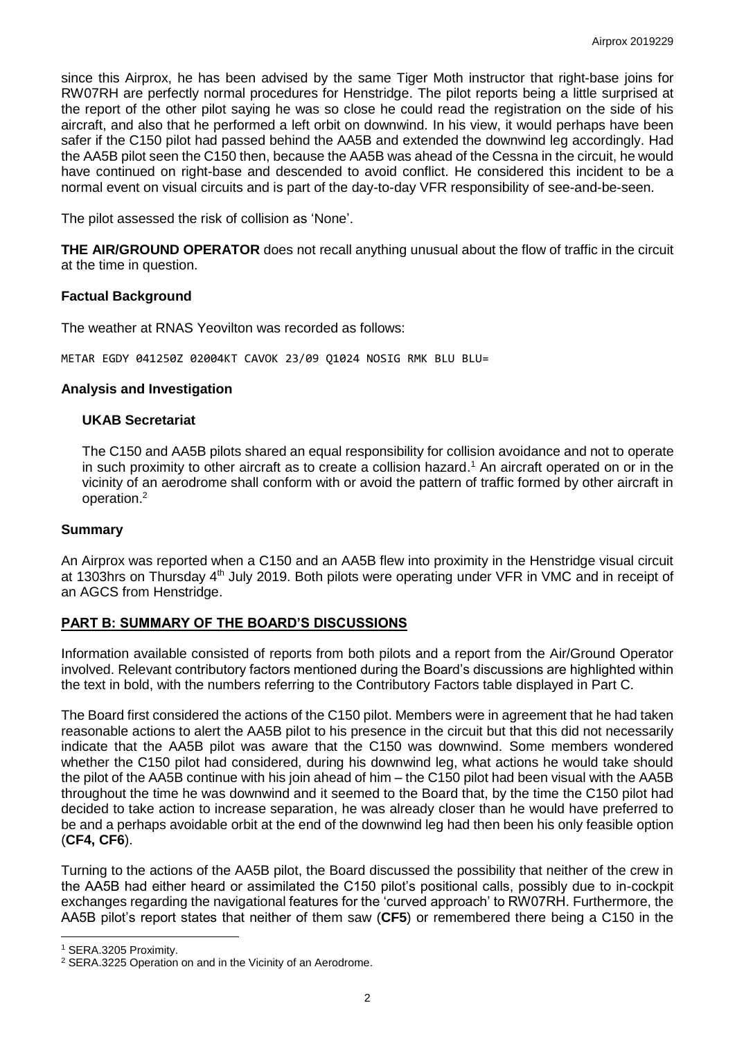since this Airprox, he has been advised by the same Tiger Moth instructor that right-base joins for RW07RH are perfectly normal procedures for Henstridge. The pilot reports being a little surprised at the report of the other pilot saying he was so close he could read the registration on the side of his aircraft, and also that he performed a left orbit on downwind. In his view, it would perhaps have been safer if the C150 pilot had passed behind the AA5B and extended the downwind leg accordingly. Had the AA5B pilot seen the C150 then, because the AA5B was ahead of the Cessna in the circuit, he would have continued on right-base and descended to avoid conflict. He considered this incident to be a normal event on visual circuits and is part of the day-to-day VFR responsibility of see-and-be-seen.

The pilot assessed the risk of collision as 'None'.

**THE AIR/GROUND OPERATOR** does not recall anything unusual about the flow of traffic in the circuit at the time in question.

## **Factual Background**

The weather at RNAS Yeovilton was recorded as follows:

METAR EGDY 041250Z 02004KT CAVOK 23/09 Q1024 NOSIG RMK BLU BLU=

### **Analysis and Investigation**

### **UKAB Secretariat**

The C150 and AA5B pilots shared an equal responsibility for collision avoidance and not to operate in such proximity to other aircraft as to create a collision hazard. <sup>1</sup> An aircraft operated on or in the vicinity of an aerodrome shall conform with or avoid the pattern of traffic formed by other aircraft in operation. 2

## **Summary**

An Airprox was reported when a C150 and an AA5B flew into proximity in the Henstridge visual circuit at 1303hrs on Thursday 4<sup>th</sup> July 2019. Both pilots were operating under VFR in VMC and in receipt of an AGCS from Henstridge.

## **PART B: SUMMARY OF THE BOARD'S DISCUSSIONS**

Information available consisted of reports from both pilots and a report from the Air/Ground Operator involved. Relevant contributory factors mentioned during the Board's discussions are highlighted within the text in bold, with the numbers referring to the Contributory Factors table displayed in Part C.

The Board first considered the actions of the C150 pilot. Members were in agreement that he had taken reasonable actions to alert the AA5B pilot to his presence in the circuit but that this did not necessarily indicate that the AA5B pilot was aware that the C150 was downwind. Some members wondered whether the C150 pilot had considered, during his downwind leg, what actions he would take should the pilot of the AA5B continue with his join ahead of him – the C150 pilot had been visual with the AA5B throughout the time he was downwind and it seemed to the Board that, by the time the C150 pilot had decided to take action to increase separation, he was already closer than he would have preferred to be and a perhaps avoidable orbit at the end of the downwind leg had then been his only feasible option (**CF4, CF6**).

Turning to the actions of the AA5B pilot, the Board discussed the possibility that neither of the crew in the AA5B had either heard or assimilated the C150 pilot's positional calls, possibly due to in-cockpit exchanges regarding the navigational features for the 'curved approach' to RW07RH. Furthermore, the AA5B pilot's report states that neither of them saw (**CF5**) or remembered there being a C150 in the

 $\overline{a}$ <sup>1</sup> SERA.3205 Proximity.

<sup>2</sup> SERA.3225 Operation on and in the Vicinity of an Aerodrome.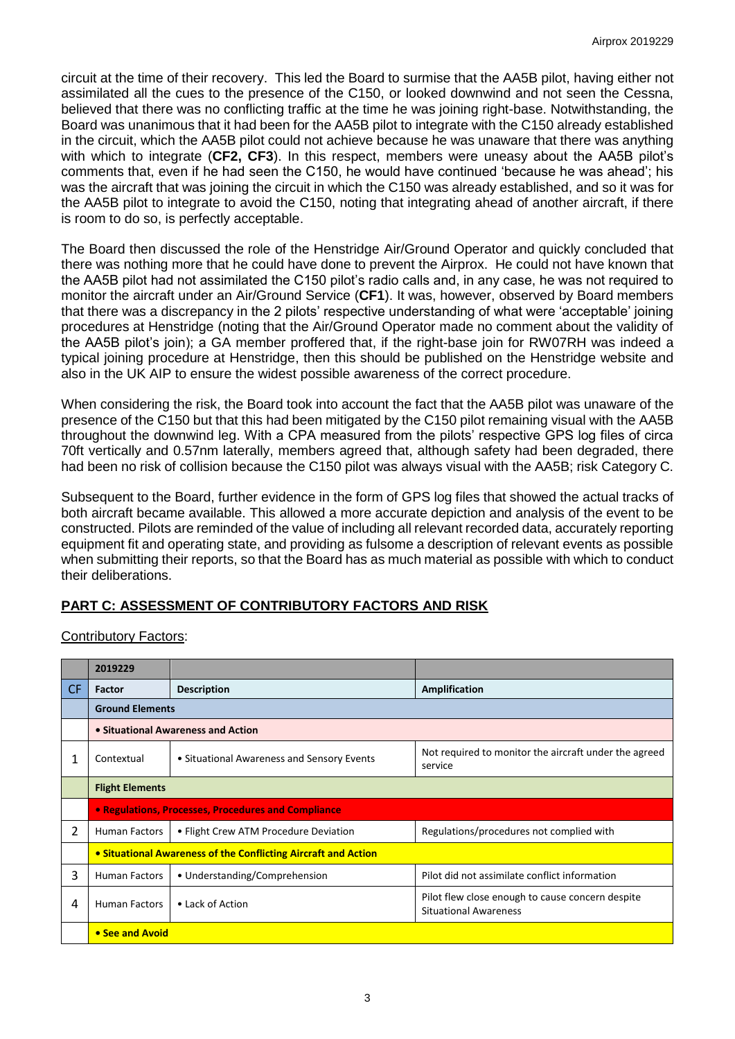circuit at the time of their recovery. This led the Board to surmise that the AA5B pilot, having either not assimilated all the cues to the presence of the C150, or looked downwind and not seen the Cessna, believed that there was no conflicting traffic at the time he was joining right-base. Notwithstanding, the Board was unanimous that it had been for the AA5B pilot to integrate with the C150 already established in the circuit, which the AA5B pilot could not achieve because he was unaware that there was anything with which to integrate (**CF2, CF3**). In this respect, members were uneasy about the AA5B pilot's comments that, even if he had seen the C150, he would have continued 'because he was ahead'; his was the aircraft that was joining the circuit in which the C150 was already established, and so it was for the AA5B pilot to integrate to avoid the C150, noting that integrating ahead of another aircraft, if there is room to do so, is perfectly acceptable.

The Board then discussed the role of the Henstridge Air/Ground Operator and quickly concluded that there was nothing more that he could have done to prevent the Airprox. He could not have known that the AA5B pilot had not assimilated the C150 pilot's radio calls and, in any case, he was not required to monitor the aircraft under an Air/Ground Service (**CF1**). It was, however, observed by Board members that there was a discrepancy in the 2 pilots' respective understanding of what were 'acceptable' joining procedures at Henstridge (noting that the Air/Ground Operator made no comment about the validity of the AA5B pilot's join); a GA member proffered that, if the right-base join for RW07RH was indeed a typical joining procedure at Henstridge, then this should be published on the Henstridge website and also in the UK AIP to ensure the widest possible awareness of the correct procedure.

When considering the risk, the Board took into account the fact that the AA5B pilot was unaware of the presence of the C150 but that this had been mitigated by the C150 pilot remaining visual with the AA5B throughout the downwind leg. With a CPA measured from the pilots' respective GPS log files of circa 70ft vertically and 0.57nm laterally, members agreed that, although safety had been degraded, there had been no risk of collision because the C150 pilot was always visual with the AA5B; risk Category C.

Subsequent to the Board, further evidence in the form of GPS log files that showed the actual tracks of both aircraft became available. This allowed a more accurate depiction and analysis of the event to be constructed. Pilots are reminded of the value of including all relevant recorded data, accurately reporting equipment fit and operating state, and providing as fulsome a description of relevant events as possible when submitting their reports, so that the Board has as much material as possible with which to conduct their deliberations.

# **PART C: ASSESSMENT OF CONTRIBUTORY FACTORS AND RISK**

Contributory Factors:

|     | 2019229                                                        |                                            |                                                                                  |  |  |  |  |  |  |
|-----|----------------------------------------------------------------|--------------------------------------------|----------------------------------------------------------------------------------|--|--|--|--|--|--|
| CF. | Factor                                                         | <b>Description</b>                         | Amplification                                                                    |  |  |  |  |  |  |
|     | <b>Ground Elements</b>                                         |                                            |                                                                                  |  |  |  |  |  |  |
|     | • Situational Awareness and Action                             |                                            |                                                                                  |  |  |  |  |  |  |
| 1   | Contextual                                                     | • Situational Awareness and Sensory Events | Not required to monitor the aircraft under the agreed<br>service                 |  |  |  |  |  |  |
|     | <b>Flight Elements</b>                                         |                                            |                                                                                  |  |  |  |  |  |  |
|     | • Regulations, Processes, Procedures and Compliance            |                                            |                                                                                  |  |  |  |  |  |  |
| 2   | <b>Human Factors</b>                                           | • Flight Crew ATM Procedure Deviation      | Regulations/procedures not complied with                                         |  |  |  |  |  |  |
|     | • Situational Awareness of the Conflicting Aircraft and Action |                                            |                                                                                  |  |  |  |  |  |  |
| 3   | <b>Human Factors</b>                                           | • Understanding/Comprehension              | Pilot did not assimilate conflict information                                    |  |  |  |  |  |  |
| 4   | <b>Human Factors</b>                                           | • Lack of Action                           | Pilot flew close enough to cause concern despite<br><b>Situational Awareness</b> |  |  |  |  |  |  |
|     | • See and Avoid                                                |                                            |                                                                                  |  |  |  |  |  |  |